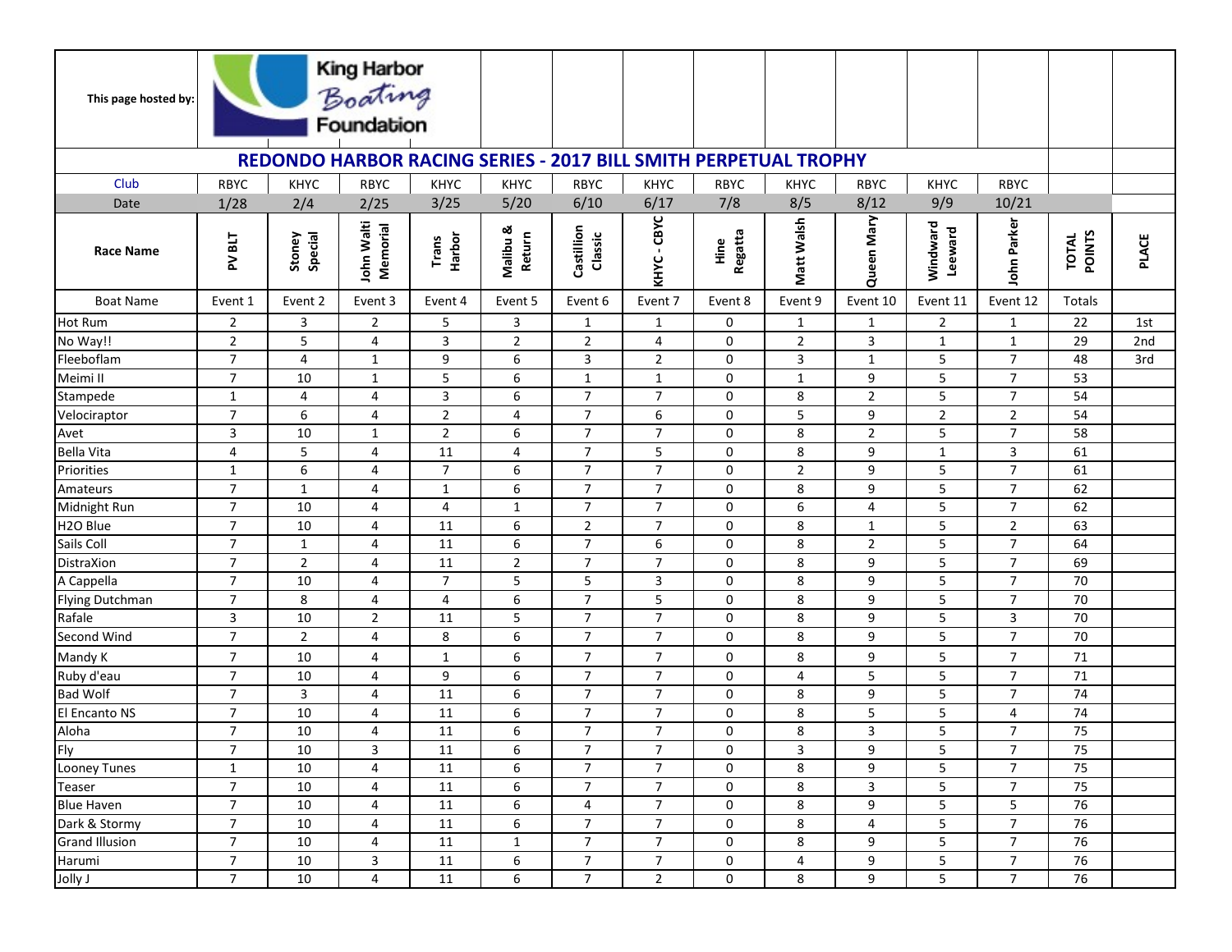| This page hosted by:                                                   |                |                   | King Harbor<br>Boating<br>Foundation |                 |                           |                          |                  |                       |                |                |                     |                 |                               |              |
|------------------------------------------------------------------------|----------------|-------------------|--------------------------------------|-----------------|---------------------------|--------------------------|------------------|-----------------------|----------------|----------------|---------------------|-----------------|-------------------------------|--------------|
| <b>REDONDO HARBOR RACING SERIES - 2017 BILL SMITH PERPETUAL TROPHY</b> |                |                   |                                      |                 |                           |                          |                  |                       |                |                |                     |                 |                               |              |
| Club                                                                   | <b>RBYC</b>    | <b>KHYC</b>       | <b>RBYC</b>                          | KHYC            | <b>KHYC</b>               | <b>RBYC</b>              | <b>KHYC</b>      | <b>RBYC</b>           | <b>KHYC</b>    | <b>RBYC</b>    | <b>KHYC</b>         | <b>RBYC</b>     |                               |              |
| Date                                                                   | 1/28           | 2/4               | 2/25                                 | 3/25            | 5/20                      | 6/10                     | 6/17             | 7/8                   | 8/5            | 8/12           | 9/9                 | 10/21           |                               |              |
| <b>Race Name</b>                                                       | <b>TIBNA</b>   | Special<br>Stoney | John Walti<br>Memorial               | Harbor<br>Trans | Malibu &<br><b>Return</b> | Castillion<br>Classic    | $-CBVC$<br>KHYC. | Regatta<br><u>ine</u> | Matt Walsh     | Queen Mary     | Windward<br>Leeward | John Parker     | <b>POINTS</b><br><b>TOTAL</b> | <b>PLACE</b> |
| <b>Boat Name</b>                                                       | Event 1        | Event 2           | Event 3                              | Event 4         | Event 5                   | Event 6                  | Event 7          | Event 8               | Event 9        | Event 10       | Event 11            | Event 12        | Totals                        |              |
| <b>Hot Rum</b>                                                         | $\overline{2}$ | 3                 | $\overline{2}$                       | 5               | 3                         | $\mathbf{1}$             | $\mathbf{1}$     | 0                     | $\mathbf{1}$   | $\mathbf{1}$   | $\overline{2}$      | $\mathbf{1}$    | 22                            | 1st          |
| No Way!!                                                               | $\overline{2}$ | 5                 | 4                                    | 3               | $\overline{2}$            | $\overline{2}$           | 4                | 0                     | $\overline{2}$ | $\overline{3}$ | $\mathbf{1}$        | $\mathbf{1}$    | 29                            | 2nd          |
| Fleeboflam                                                             | $\overline{7}$ | 4                 | $\mathbf{1}$                         | 9               | 6                         | 3                        | $\overline{2}$   | 0                     | 3              | $\mathbf{1}$   | 5                   | $\overline{7}$  | 48                            | 3rd          |
| Meimi II                                                               | $\overline{7}$ | 10                | $\mathbf{1}$                         | 5               | 6                         | $\mathbf{1}$             | $\mathbf{1}$     | 0                     | $\mathbf{1}$   | 9              | 5                   | $\overline{7}$  | 53                            |              |
| Stampede                                                               | $\mathbf{1}$   | 4                 | 4                                    | 3               | 6                         | $\overline{7}$           | $\overline{7}$   | 0                     | 8              | $\overline{2}$ | 5                   | $\overline{7}$  | 54                            |              |
| Velociraptor                                                           | $\overline{7}$ | 6                 | 4                                    | $\mathbf 2$     | 4                         | $\overline{7}$           | 6                | 0                     | 5              | 9              | $\overline{2}$      | $\mathbf 2$     | 54                            |              |
| Avet                                                                   | 3              | 10                | $\mathbf{1}$                         | $\overline{2}$  | 6                         | $\overline{7}$           | $\overline{7}$   | 0                     | 8              | $\overline{2}$ | 5                   | $\overline{7}$  | 58                            |              |
| Bella Vita                                                             | 4              | 5                 | 4                                    | 11              | $\overline{4}$            | $\overline{7}$           | 5                | 0                     | 8              | 9              | $\mathbf{1}$        | $\mathbf{3}$    | 61                            |              |
| Priorities                                                             | $\mathbf{1}$   | 6                 | 4                                    | $\overline{7}$  | 6                         | $\overline{7}$           | $\overline{7}$   | 0                     | $\overline{2}$ | 9              | 5                   | $\overline{7}$  | 61                            |              |
| Amateurs                                                               | $\overline{7}$ | $\mathbf{1}$      | 4                                    | $\mathbf{1}$    | 6                         | $\overline{7}$           | $\overline{7}$   | 0                     | 8              | 9              | 5                   | $\overline{7}$  | 62                            |              |
| Midnight Run                                                           | $\overline{7}$ | 10                | 4                                    | 4               | $\mathbf{1}$              | $\overline{7}$           | $\overline{7}$   | 0                     | 6              | $\overline{4}$ | 5                   | $\overline{7}$  | 62                            |              |
| H <sub>20</sub> Blue                                                   | $\overline{7}$ | 10                | 4                                    | 11              | 6                         | $\overline{2}$           | $\overline{7}$   | 0                     | 8              | 1              | 5                   | $\overline{2}$  | 63                            |              |
| Sails Coll                                                             | $\overline{7}$ | $\mathbf{1}$      | 4                                    | 11              | 6                         | $\overline{7}$           | 6                | 0                     | 8              | $\overline{2}$ | 5                   | $\overline{7}$  | 64                            |              |
| DistraXion                                                             | $\overline{7}$ | $\overline{2}$    | 4                                    | 11              | $\overline{2}$            | $\overline{7}$           | $\overline{7}$   | 0                     | 8              | 9              | 5                   | $\overline{7}$  | 69                            |              |
| A Cappella                                                             | $\overline{7}$ | 10                | 4                                    | $\overline{7}$  | 5                         | 5                        | 3                | 0                     | 8              | 9              | 5                   | $\overline{7}$  | 70                            |              |
| Flying Dutchman                                                        | $\overline{7}$ | 8                 | 4                                    | 4               | 6                         | $\overline{7}$           | 5                | 0                     | 8              | 9              | 5                   | $\overline{7}$  | 70                            |              |
| Rafale                                                                 | 3              | 10                | $\overline{2}$                       | 11              | 5                         | $\overline{7}$           | 7                | 0                     | 8              | 9              | 5                   | 3               | 70                            |              |
| Second Wind                                                            | $\overline{7}$ | $\overline{2}$    | 4                                    | 8               | 6                         | $\overline{7}$           | $\overline{7}$   | 0                     | 8              | 9              | 5                   | $\overline{7}$  | 70                            |              |
| Mandy K                                                                | $\overline{7}$ | 10                | 4                                    | $\mathbf{1}$    | 6                         | $\overline{7}$           | 7                | 0                     | 8              | 9              | 5                   | $\overline{7}$  | 71                            |              |
| Ruby d'eau                                                             | $\overline{7}$ | 10                | 4                                    | 9               | 6                         | $\overline{7}$           | $\overline{7}$   | 0                     | 4              | 5              | 5                   | $\overline{7}$  | 71                            |              |
| <b>Bad Wolf</b>                                                        | $\overline{7}$ | 3                 | 4                                    | 11              | 6                         | $\overline{7}$           | $\overline{7}$   | 0                     | 8              | 9              | 5                   | $\overline{7}$  | 74                            |              |
| El Encanto NS                                                          | $\overline{7}$ | 10                | 4                                    | 11              | 6                         | $\overline{7}$           | $\overline{7}$   | 0                     | 8              | 5              | 5                   | 4               | 74                            |              |
| Aloha<br>Fly                                                           | $\overline{7}$ | 10                | 4                                    | 11              | 6                         | $\overline{7}$           | $\overline{7}$   | 0                     | 8              | 3              | 5                   | $\overline{7}$  | 75                            |              |
|                                                                        | $\overline{7}$ | 10                | 3                                    | $11\,$          | 6                         | $\overline{\phantom{a}}$ | $\overline{7}$   | 0                     | 3              | 9              | $\mathsf S$         | $\overline{7}$  | $\overline{75}$               |              |
| Looney Tunes                                                           | $\mathbf{1}$   | 10                | 4                                    | 11              | 6                         | $\overline{7}$           | $\overline{7}$   | 0                     | 8              | 9              | 5                   | $\overline{7}$  | 75                            |              |
| Teaser                                                                 | $\overline{7}$ | 10                | 4                                    | 11              | 6                         | $\overline{7}$           | $\overline{7}$   | 0                     | 8              | 3              | 5                   | $\overline{7}$  | 75                            |              |
| <b>Blue Haven</b>                                                      | $\overline{7}$ | 10                | 4                                    | 11              | 6                         | 4                        | $\overline{7}$   | 0                     | 8              | 9              | 5                   | 5               | 76                            |              |
| Dark & Stormy                                                          | $\overline{7}$ | 10                | 4                                    | 11              | 6                         | $\overline{7}$           | $\overline{7}$   | 0                     | 8              | $\overline{4}$ | 5                   | $\overline{7}$  | 76                            |              |
| Grand Illusion                                                         | $\overline{7}$ | 10                | 4                                    | 11              | $\mathbf{1}$              | $\overline{7}$           | $\overline{7}$   | 0                     | 8              | 9              | 5                   | $\overline{7}$  | 76                            |              |
| Harumi                                                                 | $\overline{7}$ | 10                | 3                                    | 11              | 6                         | 7                        | $\overline{7}$   | 0                     | 4              | 9              | 5                   | $\overline{7}$  | 76                            |              |
| Jolly J                                                                | $\overline{7}$ | 10                | 4                                    | 11              | 6                         | $\overline{7}$           | $\overline{2}$   | 0                     | 8              | 9              | 5                   | $7\overline{ }$ | 76                            |              |